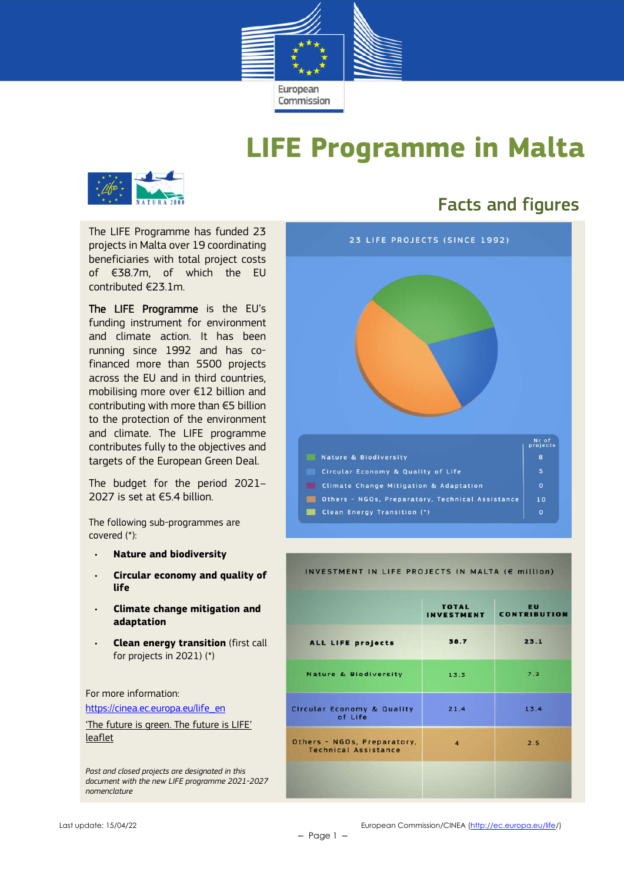

## **LIFE Programme in Malta**



The LIFE Programme has funded 23 projects in Malta over 19 coordinating beneficiaries with total project costs of €38.7m, of which the EU contributed €23.1m.

The LIFE Programme is the EU's funding instrument for environment and climate action. It has been running since 1992 and has cofinanced more than 5500 projects across the EU and in third countries, mobilising more over €12 billion and contributing with more than €5 billion to the protection of the environment and climate. The LIFE programme contributes fully to the objectives and targets of the European Green Deal.

The budget for the period 2021– 2027 is set at €5.4 billion.

The following sub-programmes are covered (\*):

- **Nature and biodiversity**
- **Circular economy and quality of life**
- **Climate change mitigation and adaptation**
- **Clean energy transition** (first call for projects in 2021) (\*)

For more information:

https://cinea.ec.europa.eu/life\_en

'The future is green. The future is LIFE' leaflet

*Past and closed projects are designated in this document with the new LIFE programme 2021-2027 nomenclature*

### Facts and figures



#### INVESTMENT IN LIFE PROJECTS IN MALTA (E million)

|                                                            | <b>TOTAL</b><br><b>INVESTMENT</b> | EU<br><b>CONTRIBUTION</b> |
|------------------------------------------------------------|-----------------------------------|---------------------------|
| ALL LIFE projects                                          | 38.7                              | 23.1                      |
| <b>Nature &amp; Biodiversity</b>                           | 13.3                              | 7.2                       |
| <b>Circular Economy &amp; Quality</b><br>of Life           | 21.4                              | 13.4                      |
| Others - NGOs, Preparatory,<br><b>Technical Assistance</b> | $\overline{a}$                    | 2.5                       |
|                                                            |                                   |                           |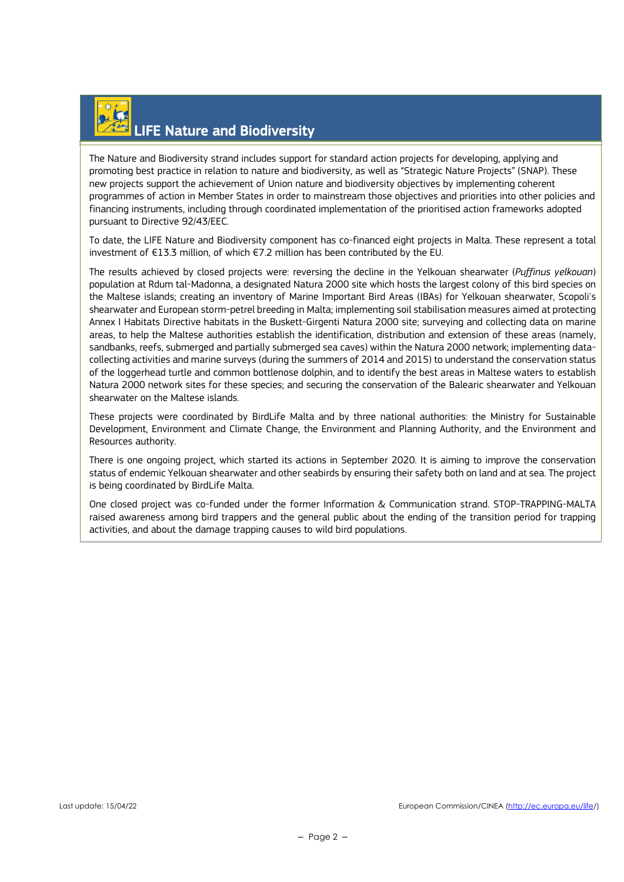## LIFE Nature and Biodiversity

The Nature and Biodiversity strand includes support for standard action projects for developing, applying and promoting best practice in relation to nature and biodiversity, as well as "Strategic Nature Projects" (SNAP). These new projects support the achievement of Union nature and biodiversity objectives by implementing coherent programmes of action in Member States in order to mainstream those objectives and priorities into other policies and financing instruments, including through coordinated implementation of the prioritised action frameworks adopted pursuant to Directive 92/43/EEC.

To date, the LIFE Nature and Biodiversity component has co-financed eight projects in Malta. These represent a total investment of  $E13.3$  million, of which  $E7.2$  million has been contributed by the EU.

The results achieved by closed projects were: reversing the decline in the Yelkouan shearwater (*Puffinus yelkouan*) population at Rdum tal-Madonna, a designated Natura 2000 site which hosts the largest colony of this bird species on the Maltese islands; creating an inventory of Marine Important Bird Areas (IBAs) for Yelkouan shearwater, Scopoli's shearwater and European storm-petrel breeding in Malta; implementing soil stabilisation measures aimed at protecting Annex I Habitats Directive habitats in the Buskett-Girgenti Natura 2000 site; surveying and collecting data on marine areas, to help the Maltese authorities establish the identification, distribution and extension of these areas (namely, sandbanks, reefs, submerged and partially submerged sea caves) within the Natura 2000 network; implementing datacollecting activities and marine surveys (during the summers of 2014 and 2015) to understand the conservation status of the loggerhead turtle and common bottlenose dolphin, and to identify the best areas in Maltese waters to establish Natura 2000 network sites for these species; and securing the conservation of the Balearic shearwater and Yelkouan shearwater on the Maltese islands.

These projects were coordinated by BirdLife Malta and by three national authorities: the Ministry for Sustainable Development, Environment and Climate Change, the Environment and Planning Authority, and the Environment and Resources authority.

There is one ongoing project, which started its actions in September 2020. It is aiming to improve the conservation status of endemic Yelkouan shearwater and other seabirds by ensuring their safety both on land and at sea. The project is being coordinated by BirdLife Malta.

One closed project was co-funded under the former Information & Communication strand. STOP-TRAPPING-MALTA raised awareness among bird trappers and the general public about the ending of the transition period for trapping activities, and about the damage trapping causes to wild bird populations.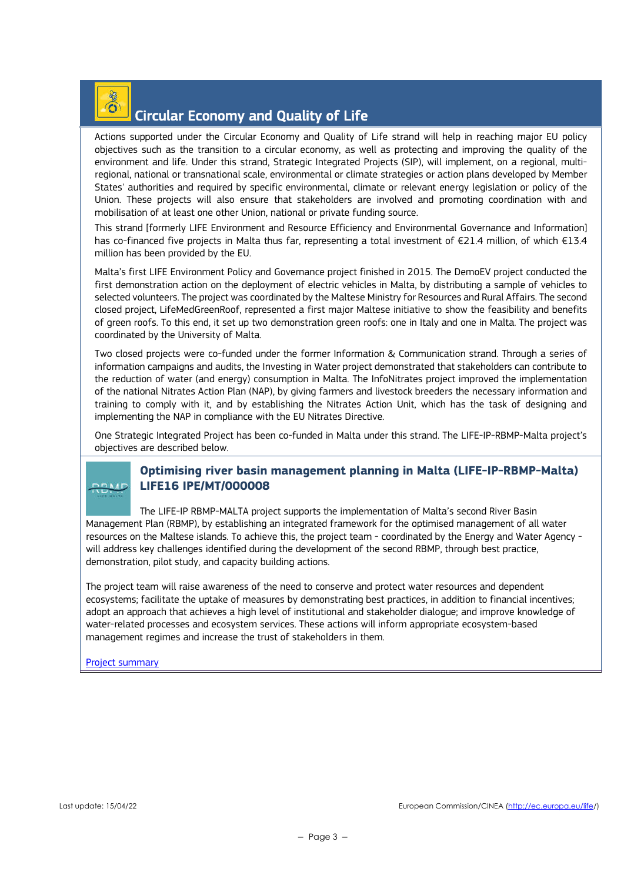#### $\widehat{\mathbf{O}}$ Circular Economy and Quality of Life

Actions supported under the Circular Economy and Quality of Life strand will help in reaching major EU policy objectives such as the transition to a circular economy, as well as protecting and improving the quality of the environment and life. Under this strand, Strategic Integrated Projects (SIP), will implement, on a regional, multiregional, national or transnational scale, environmental or climate strategies or action plans developed by Member States' authorities and required by specific environmental, climate or relevant energy legislation or policy of the Union. These projects will also ensure that stakeholders are involved and promoting coordination with and mobilisation of at least one other Union, national or private funding source.

This strand [formerly LIFE Environment and Resource Efficiency and Environmental Governance and Information] has co-financed five projects in Malta thus far, representing a total investment of €21.4 million, of which €13.4 million has been provided by the EU.

Malta's first LIFE Environment Policy and Governance project finished in 2015. The DemoEV project conducted the first demonstration action on the deployment of electric vehicles in Malta, by distributing a sample of vehicles to selected volunteers. The project was coordinated by the Maltese Ministry for Resources and Rural Affairs. The second closed project, LifeMedGreenRoof, represented a first major Maltese initiative to show the feasibility and benefits of green roofs. To this end, it set up two demonstration green roofs: one in Italy and one in Malta. The project was coordinated by the University of Malta.

Two closed projects were co-funded under the former Information & Communication strand. Through a series of information campaigns and audits, the Investing in Water project demonstrated that stakeholders can contribute to the reduction of water (and energy) consumption in Malta. The InfoNitrates project improved the implementation of the national Nitrates Action Plan (NAP), by giving farmers and livestock breeders the necessary information and training to comply with it, and by establishing the Nitrates Action Unit, which has the task of designing and implementing the NAP in compliance with the EU Nitrates Directive.

One Strategic Integrated Project has been co-funded in Malta under this strand. The LIFE-IP-RBMP-Malta project's objectives are described below.

#### **Optimising river basin management planning in Malta (LIFE-IP-RBMP-Malta) LIFE16 IPE/MT/000008**

The LIFE-IP RBMP-MALTA project supports the implementation of Malta's second River Basin Management Plan (RBMP), by establishing an integrated framework for the optimised management of all water resources on the Maltese islands. To achieve this, the project team - coordinated by the Energy and Water Agency will address key challenges identified during the development of the second RBMP, through best practice, demonstration, pilot study, and capacity building actions.

The project team will raise awareness of the need to conserve and protect water resources and dependent ecosystems; facilitate the uptake of measures by demonstrating best practices, in addition to financial incentives; adopt an approach that achieves a high level of institutional and stakeholder dialogue; and improve knowledge of water-related processes and ecosystem services. These actions will inform appropriate ecosystem-based management regimes and increase the trust of stakeholders in them.

#### Project summary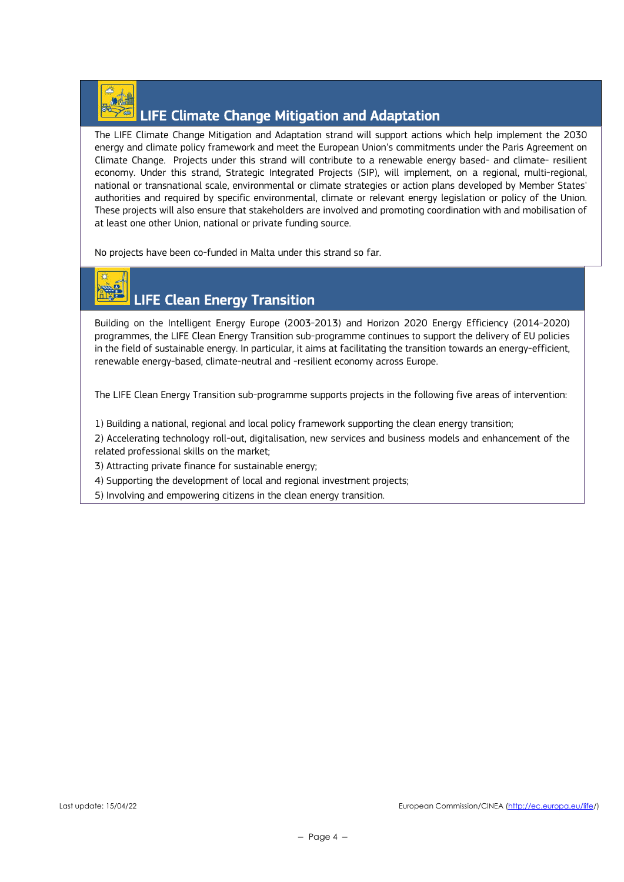

### LIFE Climate Change Mitigation and Adaptation

The LIFE Climate Change Mitigation and Adaptation strand will support actions which help implement the 2030 energy and climate policy framework and meet the European Union's commitments under the Paris Agreement on Climate Change. Projects under this strand will contribute to a renewable energy based- and climate- resilient economy. Under this strand, Strategic Integrated Projects (SIP), will implement, on a regional, multi-regional, national or transnational scale, environmental or climate strategies or action plans developed by Member States' authorities and required by specific environmental, climate or relevant energy legislation or policy of the Union. These projects will also ensure that stakeholders are involved and promoting coordination with and mobilisation of at least one other Union, national or private funding source.

No projects have been co-funded in Malta under this strand so far.

# LIFE Clean Energy Transition

Building on the Intelligent Energy Europe (2003-2013) and Horizon 2020 Energy Efficiency (2014-2020) programmes, the LIFE Clean Energy Transition sub-programme continues to support the delivery of EU policies in the field of sustainable energy. In particular, it aims at facilitating the transition towards an energy-efficient, renewable energy-based, climate-neutral and -resilient economy across Europe.

The LIFE Clean Energy Transition sub-programme supports projects in the following five areas of intervention:

1) Building a national, regional and local policy framework supporting the clean energy transition;

2) Accelerating technology roll-out, digitalisation, new services and business models and enhancement of the related professional skills on the market;

- 3) Attracting private finance for sustainable energy;
- 4) Supporting the development of local and regional investment projects;
- 5) Involving and empowering citizens in the clean energy transition.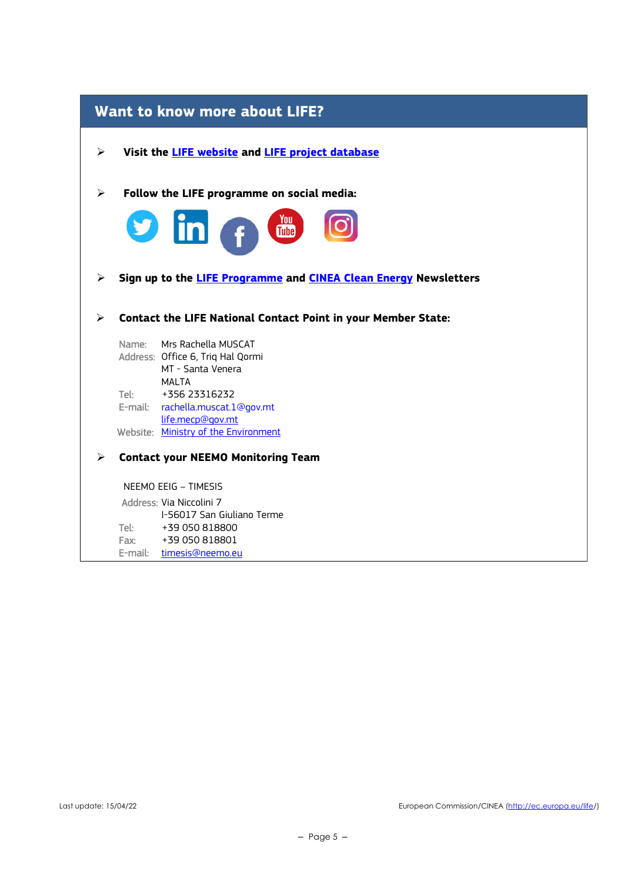| <b>Want to know more about LIFE?</b>                                |                                                                               |  |  |  |  |  |
|---------------------------------------------------------------------|-------------------------------------------------------------------------------|--|--|--|--|--|
| Visit the <b>LIFE website</b> and <b>LIFE project database</b><br>➤ |                                                                               |  |  |  |  |  |
| Follow the LIFE programme on social media:<br>➤                     |                                                                               |  |  |  |  |  |
|                                                                     | <b>S</b> in f the                                                             |  |  |  |  |  |
| ➤                                                                   | Sign up to the LIFE Programme and CINEA Clean Energy Newsletters              |  |  |  |  |  |
| ⋗                                                                   | <b>Contact the LIFE National Contact Point in your Member State:</b>          |  |  |  |  |  |
| Name:                                                               | Mrs Rachella MUSCAT<br>Address: Office 6, Triq Hal Qormi<br>MT - Santa Venera |  |  |  |  |  |
| Tel:                                                                | <b>MALTA</b><br>+356 23316232<br>E-mail: rachella.muscat.1@gov.mt             |  |  |  |  |  |
|                                                                     | life.mecp@gov.mt<br>Website: Ministry of the Environment                      |  |  |  |  |  |
| <b>Contact your NEEMO Monitoring Team</b><br>⋗                      |                                                                               |  |  |  |  |  |
|                                                                     | NEEMO EEIG - TIMESIS                                                          |  |  |  |  |  |
|                                                                     | Address: Via Niccolini 7<br>I-56017 San Giuliano Terme                        |  |  |  |  |  |
| Tel:                                                                | +39 050 818800                                                                |  |  |  |  |  |
| Fax:                                                                | +39 050 818801                                                                |  |  |  |  |  |
| E-mail:                                                             | timesis@neemo.eu                                                              |  |  |  |  |  |